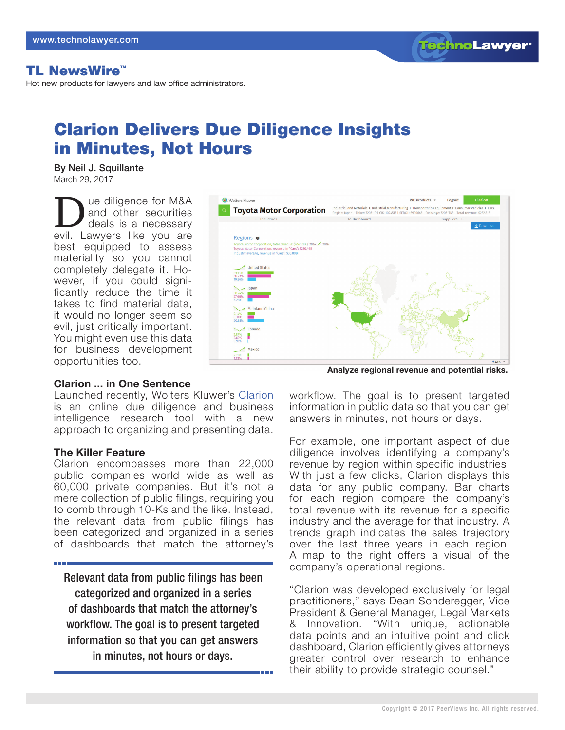**TechnoLawyer** 

# TL NewsWire™

Hot new products for lawyers and law office administrators.

# Clarion Delivers Due Diligence Insights in Minutes, Not Hours

By Neil J. Squillante March 29, 2017

Due diligence for M&A<br>and other securities<br>deals is a necessary<br>evil I awvers like you are and other securities deals is a necessary evil. Lawyers like you are best equipped to assess materiality so you cannot completely delegate it. However, if you could significantly reduce the time it takes to find material data, it would no longer seem so evil, just critically important. You might even use this data for business development opportunities too.



#### **Clarion ... in One Sentence**

Launched recently, Wolters Kluwer's [Clarion](https://lrus.wolterskluwer.com/product-family/clarion) is an online due diligence and business intelligence research tool with a new approach to organizing and presenting data.

#### **The Killer Feature**

Clarion encompasses more than 22,000 public companies world wide as well as 60,000 private companies. But it's not a mere collection of public filings, requiring you to comb through 10-Ks and the like. Instead, the relevant data from public filings has been categorized and organized in a series of dashboards that match the attorney's

Relevant data from public filings has been categorized and organized in a series of dashboards that match the attorney's workflow. The goal is to present targeted information so that you can get answers in minutes, not hours or days.

**Analyze regional revenue and potential risks.**

workflow. The goal is to present targeted information in public data so that you can get answers in minutes, not hours or days.

For example, one important aspect of due diligence involves identifying a company's revenue by region within specific industries. With just a few clicks, Clarion displays this data for any public company. Bar charts for each region compare the company's total revenue with its revenue for a specific industry and the average for that industry. A trends graph indicates the sales trajectory over the last three years in each region. A map to the right offers a visual of the company's operational regions.

"Clarion was developed exclusively for legal practitioners," says Dean Sonderegger, Vice President & General Manager, Legal Markets & Innovation. "With unique, actionable data points and an intuitive point and click dashboard, Clarion efficiently gives attorneys greater control over research to enhance their ability to provide strategic counsel."